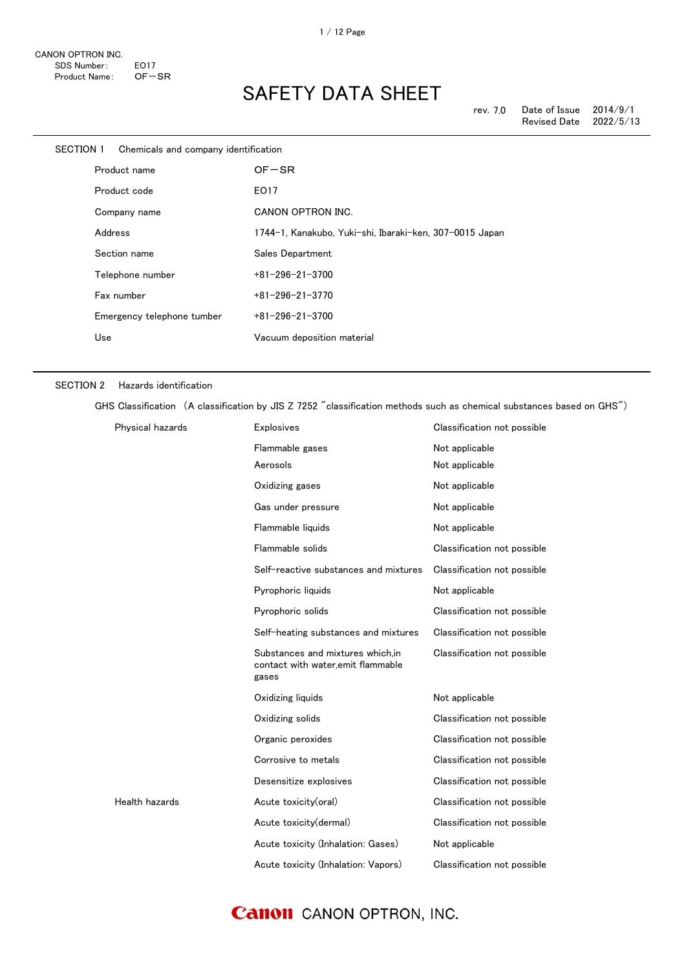| SECTION 1    | Chemicals and company identification |                                                         |
|--------------|--------------------------------------|---------------------------------------------------------|
| Product name |                                      | $OF-SR$                                                 |
|              | Product code                         | EO17                                                    |
|              | Company name                         | CANON OPTRON INC.                                       |
|              | Address                              | 1744-1, Kanakubo, Yuki-shi, Ibaraki-ken, 307-0015 Japan |
|              | Section name                         | Sales Department                                        |
|              | Telephone number                     | $+81 - 296 - 21 - 3700$                                 |
|              | Fax number                           | $+81 - 296 - 21 - 3770$                                 |
|              | Emergency telephone tumber           | $+81 - 296 - 21 - 3700$                                 |
|              | Use                                  | Vacuum deposition material                              |
|              |                                      |                                                         |

#### SECTION 2 Hazards identification

GHS Classification (A classification by JIS Z 7252 "classification methods such as chemical substances based on GHS")

| Physical hazards | <b>Explosives</b>                                                               | Classification not possible |
|------------------|---------------------------------------------------------------------------------|-----------------------------|
|                  | Flammable gases                                                                 | Not applicable              |
|                  | Aerosols                                                                        | Not applicable              |
|                  | Oxidizing gases                                                                 | Not applicable              |
|                  | Gas under pressure                                                              | Not applicable              |
|                  | Flammable liquids                                                               | Not applicable              |
|                  | Flammable solids                                                                | Classification not possible |
|                  | Self-reactive substances and mixtures                                           | Classification not possible |
|                  | Pyrophoric liquids                                                              | Not applicable              |
|                  | Pyrophoric solids                                                               | Classification not possible |
|                  | Self-heating substances and mixtures                                            | Classification not possible |
|                  | Substances and mixtures which.in<br>contact with water, emit flammable<br>gases | Classification not possible |
|                  | Oxidizing liquids                                                               | Not applicable              |
|                  | Oxidizing solids                                                                | Classification not possible |
|                  | Organic peroxides                                                               | Classification not possible |
|                  | Corrosive to metals                                                             | Classification not possible |
|                  | Desensitize explosives                                                          | Classification not possible |
| Health hazards   | Acute toxicity(oral)                                                            | Classification not possible |
|                  | Acute toxicity(dermal)                                                          | Classification not possible |
|                  | Acute toxicity (Inhalation: Gases)                                              | Not applicable              |
|                  | Acute toxicity (Inhalation: Vapors)                                             | Classification not possible |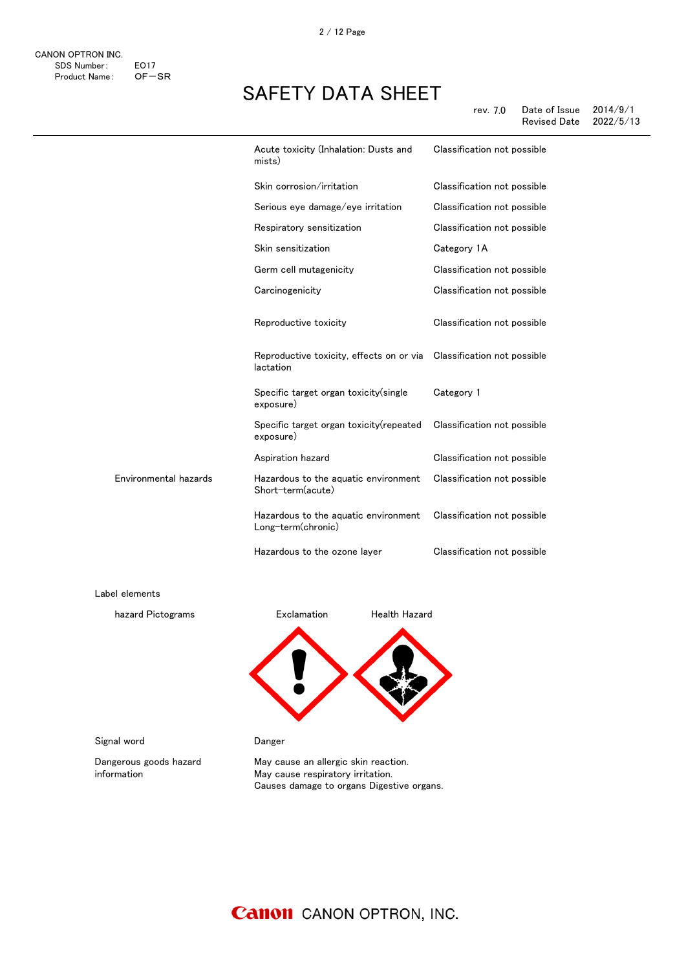|                       | Acute toxicity (Inhalation: Dusts and<br>mists)                                    | Classification not possible |
|-----------------------|------------------------------------------------------------------------------------|-----------------------------|
|                       | Skin corrosion/irritation                                                          | Classification not possible |
|                       | Serious eye damage/eye irritation                                                  | Classification not possible |
|                       | Respiratory sensitization                                                          | Classification not possible |
|                       | Skin sensitization                                                                 | Category 1A                 |
|                       | Germ cell mutagenicity                                                             | Classification not possible |
|                       | Carcinogenicity                                                                    | Classification not possible |
|                       | Reproductive toxicity                                                              | Classification not possible |
|                       | Reproductive toxicity, effects on or via  Classification not possible<br>lactation |                             |
|                       | Specific target organ toxicity (single<br>exposure)                                | Category 1                  |
|                       | Specific target organ toxicity (repeated<br>exposure)                              | Classification not possible |
|                       | Aspiration hazard                                                                  | Classification not possible |
| Environmental hazards | Hazardous to the aquatic environment<br>Short-term(acute)                          | Classification not possible |
|                       | Hazardous to the aquatic environment<br>Long-term(chronic)                         | Classification not possible |
|                       | Hazardous to the ozone layer                                                       | Classification not possible |
| Label elements        |                                                                                    |                             |

hazard Pictograms **Exclamation** Health Hazard

感嘆符 健康有害性

Signal word **Danger** 

Dangerous goods hazard information

May cause an allergic skin reaction. May cause respiratory irritation. Causes damage to organs Digestive organs.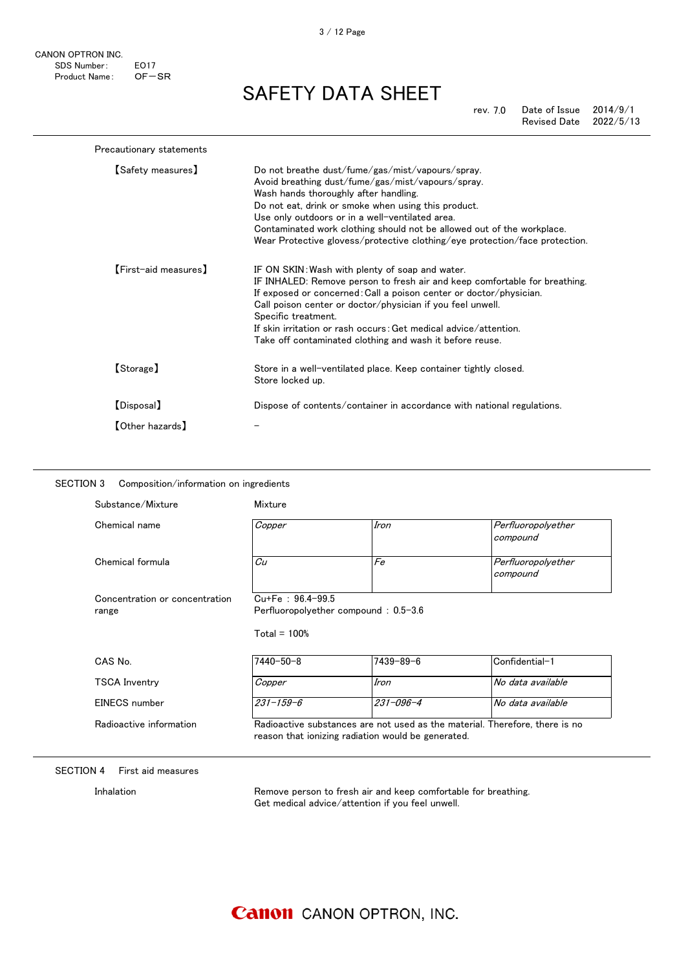CANON OPTRON INC. SDS Number: EO17<br>Product Name: OF-SR Product Name:

#### SAFETY DATA SHEET

rev. 7.0 Date of Issue 2014/9/1<br>Revised Date 2022/5/13 Revised Date

| Precautionary statements |                                                                                                                                                                                                                                                                                                                                                                                                                          |
|--------------------------|--------------------------------------------------------------------------------------------------------------------------------------------------------------------------------------------------------------------------------------------------------------------------------------------------------------------------------------------------------------------------------------------------------------------------|
| 【Safety measures】        | Do not breathe dust/fume/gas/mist/vapours/spray.<br>Avoid breathing dust/fume/gas/mist/vapours/spray.<br>Wash hands thoroughly after handling.<br>Do not eat, drink or smoke when using this product.<br>Use only outdoors or in a well-ventilated area.<br>Contaminated work clothing should not be allowed out of the workplace.<br>Wear Protective glovess/protective clothing/eye protection/face protection.        |
| [First-aid measures]     | IF ON SKIN: Wash with plenty of soap and water.<br>IF INHALED: Remove person to fresh air and keep comfortable for breathing.<br>If exposed or concerned: Call a poison center or doctor/physician.<br>Call poison center or doctor/physician if you feel unwell.<br>Specific treatment.<br>If skin irritation or rash occurs: Get medical advice/attention.<br>Take off contaminated clothing and wash it before reuse. |
| [Storage]                | Store in a well-ventilated place. Keep container tightly closed.<br>Store locked up.                                                                                                                                                                                                                                                                                                                                     |
| [Disposal]               | Dispose of contents/container in accordance with national regulations.                                                                                                                                                                                                                                                                                                                                                   |
| 【Other hazards】          |                                                                                                                                                                                                                                                                                                                                                                                                                          |

#### SECTION 3 Composition/information on ingredients

| Chemical name                                           | Copper                                | Iron                                 | Perfluoropolyether<br>compound |
|---------------------------------------------------------|---------------------------------------|--------------------------------------|--------------------------------|
| Chemical formula                                        | Cu                                    | Fe                                   | Perfluoropolyether<br>compound |
| Concentration or concentration<br>range                 | $Cu+Fe$ : 96.4-99.5<br>Total = $100%$ | Perfluoropolyether compound: 0.5-3.6 |                                |
|                                                         |                                       |                                      |                                |
|                                                         | $7440 - 50 - 8$                       | $7439 - 89 - 6$                      | Confidential-1                 |
|                                                         | Copper                                | Iron                                 | No data available              |
| CAS No.<br><b>TSCA Inventry</b><br><b>FINECS</b> number | $231 - 159 - 6$                       | $231 - 096 - 4$                      | No data available              |

#### SECTION 4 First aid measures

Inhalation **Remove person to fresh air and keep comfortable for breathing.** Get medical advice/attention if you feel unwell.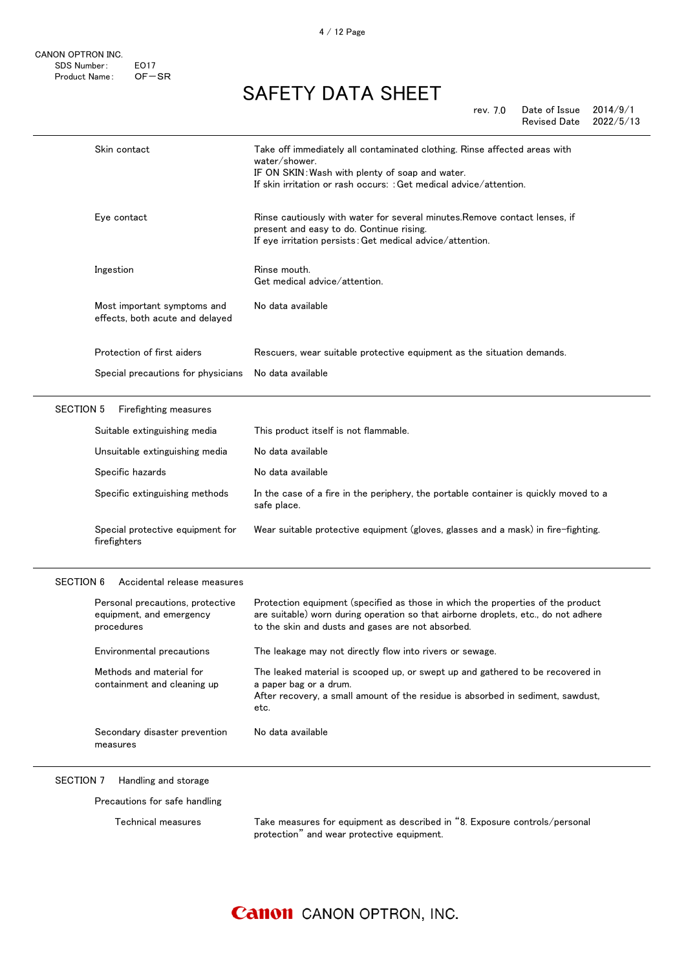rev. 7.0 Date of Issue 2014/9/1 Revised Date 2022/5/13

|                  | Skin contact                                                               | Take off immediately all contaminated clothing. Rinse affected areas with<br>water/shower.<br>IF ON SKIN: Wash with plenty of soap and water.<br>If skin irritation or rash occurs: : Get medical advice/attention.        |
|------------------|----------------------------------------------------------------------------|----------------------------------------------------------------------------------------------------------------------------------------------------------------------------------------------------------------------------|
|                  | Eye contact                                                                | Rinse cautiously with water for several minutes. Remove contact lenses, if<br>present and easy to do. Continue rising.<br>If eye irritation persists: Get medical advice/attention.                                        |
|                  | Ingestion                                                                  | Rinse mouth.<br>Get medical advice/attention.                                                                                                                                                                              |
|                  | Most important symptoms and<br>effects, both acute and delayed             | No data available                                                                                                                                                                                                          |
|                  | Protection of first aiders                                                 | Rescuers, wear suitable protective equipment as the situation demands.                                                                                                                                                     |
|                  | Special precautions for physicians                                         | No data available                                                                                                                                                                                                          |
| <b>SECTION 5</b> | Firefighting measures                                                      |                                                                                                                                                                                                                            |
|                  | Suitable extinguishing media                                               | This product itself is not flammable.                                                                                                                                                                                      |
|                  | Unsuitable extinguishing media                                             | No data available                                                                                                                                                                                                          |
|                  | Specific hazards                                                           | No data available                                                                                                                                                                                                          |
|                  | Specific extinguishing methods                                             | In the case of a fire in the periphery, the portable container is quickly moved to a<br>safe place.                                                                                                                        |
|                  |                                                                            |                                                                                                                                                                                                                            |
|                  | Special protective equipment for<br>firefighters                           | Wear suitable protective equipment (gloves, glasses and a mask) in fire-fighting.                                                                                                                                          |
| <b>SECTION 6</b> | Accidental release measures                                                |                                                                                                                                                                                                                            |
|                  | Personal precautions, protective<br>equipment, and emergency<br>procedures | Protection equipment (specified as those in which the properties of the product<br>are suitable) worn during operation so that airborne droplets, etc., do not adhere<br>to the skin and dusts and gases are not absorbed. |
|                  | Environmental precautions                                                  | The leakage may not directly flow into rivers or sewage.                                                                                                                                                                   |
|                  | Methods and material for<br>containment and cleaning up                    | The leaked material is scooped up, or swept up and gathered to be recovered in<br>a paper bag or a drum.<br>After recovery, a small amount of the residue is absorbed in sediment, sawdust,<br>etc.                        |
|                  | Secondary disaster prevention<br>measures                                  | No data available                                                                                                                                                                                                          |

Precautions for safe handling

Technical measures Take measures for equipment as described in "8. Exposure controls/personal protection" and wear protective equipment.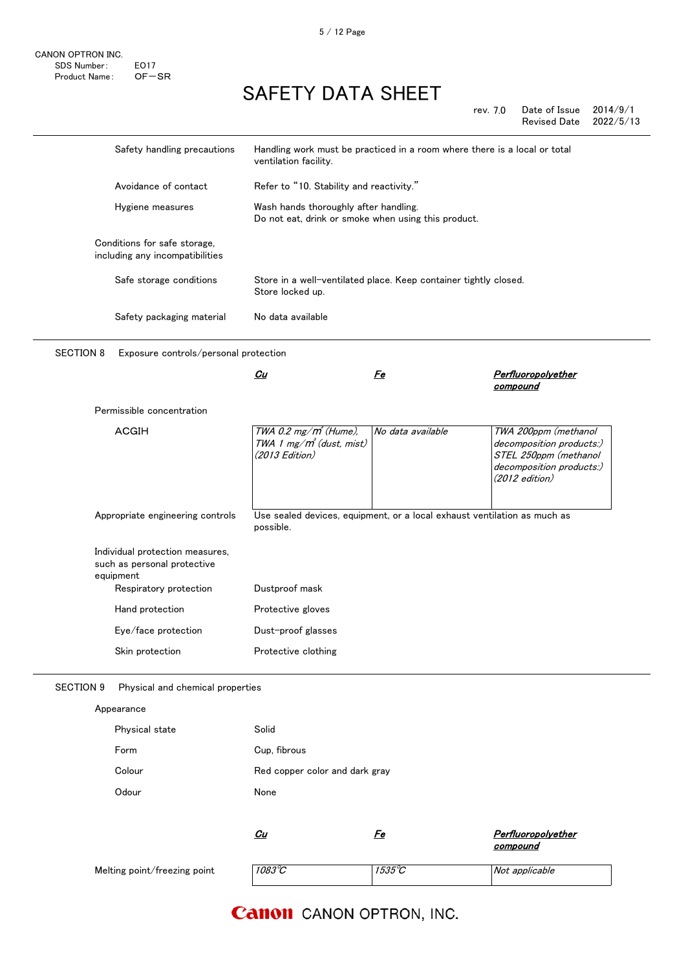rev. 7.0 Date of Issue 2014/9/1 Revised Date 2022/5/13

|                  | Safety handling precautions                                                                           | Handling work must be practiced in a room where there is a local or total<br>ventilation facility. |                   |                                                                                                                           |
|------------------|-------------------------------------------------------------------------------------------------------|----------------------------------------------------------------------------------------------------|-------------------|---------------------------------------------------------------------------------------------------------------------------|
|                  | Avoidance of contact                                                                                  | Refer to "10. Stability and reactivity."                                                           |                   |                                                                                                                           |
|                  | Hygiene measures                                                                                      | Wash hands thoroughly after handling.<br>Do not eat, drink or smoke when using this product.       |                   |                                                                                                                           |
|                  | Conditions for safe storage,<br>including any incompatibilities                                       |                                                                                                    |                   |                                                                                                                           |
|                  | Safe storage conditions                                                                               | Store in a well-ventilated place. Keep container tightly closed.<br>Store locked up.               |                   |                                                                                                                           |
|                  | Safety packaging material                                                                             | No data available                                                                                  |                   |                                                                                                                           |
| <b>SECTION 8</b> | Exposure controls/personal protection                                                                 |                                                                                                    |                   |                                                                                                                           |
|                  |                                                                                                       | <u>Cu</u>                                                                                          | <u>Fe</u>         | <u>Perfluoropolyether</u><br>compound                                                                                     |
|                  | Permissible concentration                                                                             |                                                                                                    |                   |                                                                                                                           |
|                  | <b>ACGIH</b>                                                                                          | TWA 0.2 mg/m <sup>3</sup> (Hume),<br>TWA 1 mg/m <sup>3</sup> (dust, mist)<br>(2013 Edition)        | No data available | TWA 200ppm (methanol<br>decomposition products:)<br>STEL 250ppm (methanol<br>decomposition products:)<br>$(2012$ edition) |
|                  | Appropriate engineering controls                                                                      | Use sealed devices, equipment, or a local exhaust ventilation as much as<br>possible.              |                   |                                                                                                                           |
|                  | Individual protection measures,<br>such as personal protective<br>equipment<br>Respiratory protection | Dustproof mask                                                                                     |                   |                                                                                                                           |
|                  | Hand protection                                                                                       | Protective gloves                                                                                  |                   |                                                                                                                           |
|                  | Eye/face protection                                                                                   | Dust-proof glasses                                                                                 |                   |                                                                                                                           |
|                  | Skin protection                                                                                       | Protective clothing                                                                                |                   |                                                                                                                           |
| <b>SECTION 9</b> | Physical and chemical properties                                                                      |                                                                                                    |                   |                                                                                                                           |
|                  | Appearance                                                                                            |                                                                                                    |                   |                                                                                                                           |
|                  | Physical state                                                                                        | Solid                                                                                              |                   |                                                                                                                           |

| <b>Physical state</b> | <b>Solid</b>                   |
|-----------------------|--------------------------------|
| Form                  | Cup, fibrous                   |
| Colour                | Red copper color and dark gray |
| Odour                 | None                           |
|                       |                                |

|                              | Cu              | re     | Perfluoropolyether<br>compound |
|------------------------------|-----------------|--------|--------------------------------|
| Melting point/freezing point | $1083^{\circ}C$ | 1535°C | Not applicable                 |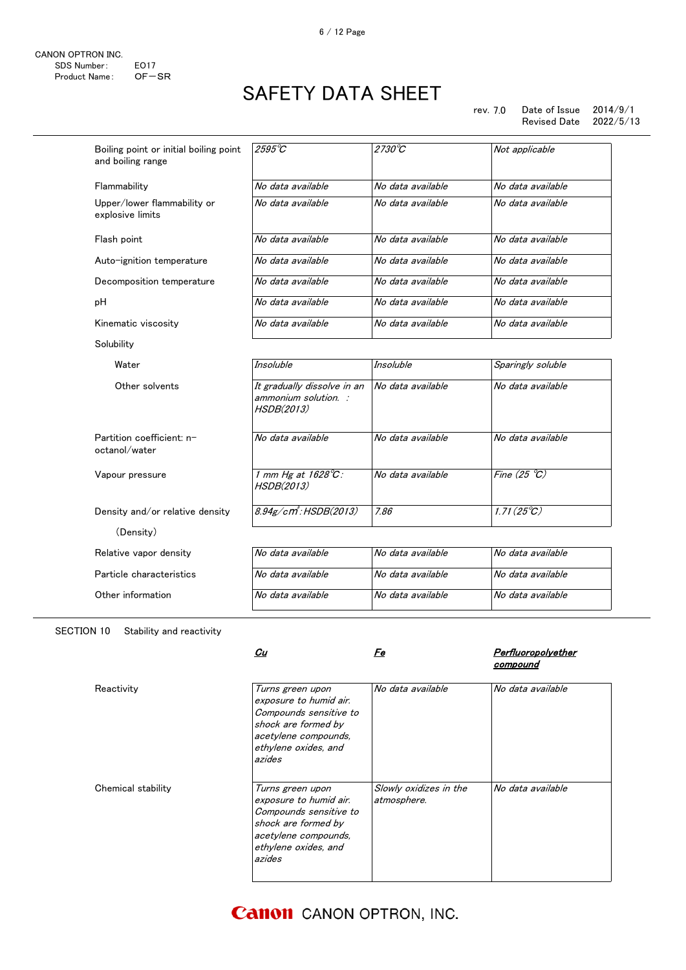#### rev. 7.0 Date of Issue 2014/9/1<br>Revised Date 2022/5/13 Revised Date

| Boiling point or initial boiling point<br>and boiling range | $2595^{\circ}C$                                                   | $2730^{\circ}C$   | Not applicable             |
|-------------------------------------------------------------|-------------------------------------------------------------------|-------------------|----------------------------|
| Flammability                                                | No data available                                                 | No data available | No data available          |
| Upper/lower flammability or<br>explosive limits             | No data available                                                 | No data available | No data available          |
| Flash point                                                 | No data available                                                 | No data available | No data available          |
| Auto-ignition temperature                                   | No data available                                                 | No data available | No data available          |
| Decomposition temperature                                   | No data available                                                 | No data available | No data available          |
| рH                                                          | No data available                                                 | No data available | No data available          |
| Kinematic viscosity                                         | No data available                                                 | No data available | No data available          |
| Solubility                                                  |                                                                   |                   |                            |
| Water                                                       | <b>Insoluble</b>                                                  | <b>Insoluble</b>  | Sparingly soluble          |
| Other solvents                                              | It gradually dissolve in an<br>ammonium solution. :<br>HSDB(2013) | No data available | No data available          |
| Partition coefficient: n-<br>octanol/water                  | No data available                                                 | No data available | No data available          |
| Vapour pressure                                             | 1 mm Hg at 1628°C:<br>HSDB(2013)                                  | No data available | Fine $(25 \degree C)$      |
| Density and/or relative density                             | $8.94$ g/cm <sup>2</sup> : HSDB(2013)                             | 7.86              | $1.71(25^{\circ}\text{C})$ |
| (Density)                                                   |                                                                   |                   |                            |
| Relative vapor density                                      | No data available                                                 | No data available | No data available          |
| Particle characteristics                                    | No data available                                                 | No data available | No data available          |
| Other information                                           | No data available                                                 | No data available | No data available          |
|                                                             |                                                                   |                   |                            |

SECTION 10 Stability and reactivity

|                    | Cu                                                                                                                                                    | Fe                                    | Perfluoropolyether<br>compound |
|--------------------|-------------------------------------------------------------------------------------------------------------------------------------------------------|---------------------------------------|--------------------------------|
| Reactivity         | Turns green upon<br>exposure to humid air.<br>Compounds sensitive to<br>shock are formed by<br>acetylene compounds,<br>ethylene oxides, and<br>azides | No data available                     | No data available              |
| Chemical stability | Turns green upon<br>exposure to humid air.<br>Compounds sensitive to<br>shock are formed by<br>acetylene compounds,<br>ethylene oxides, and<br>azides | Slowly oxidizes in the<br>atmosphere. | No data available              |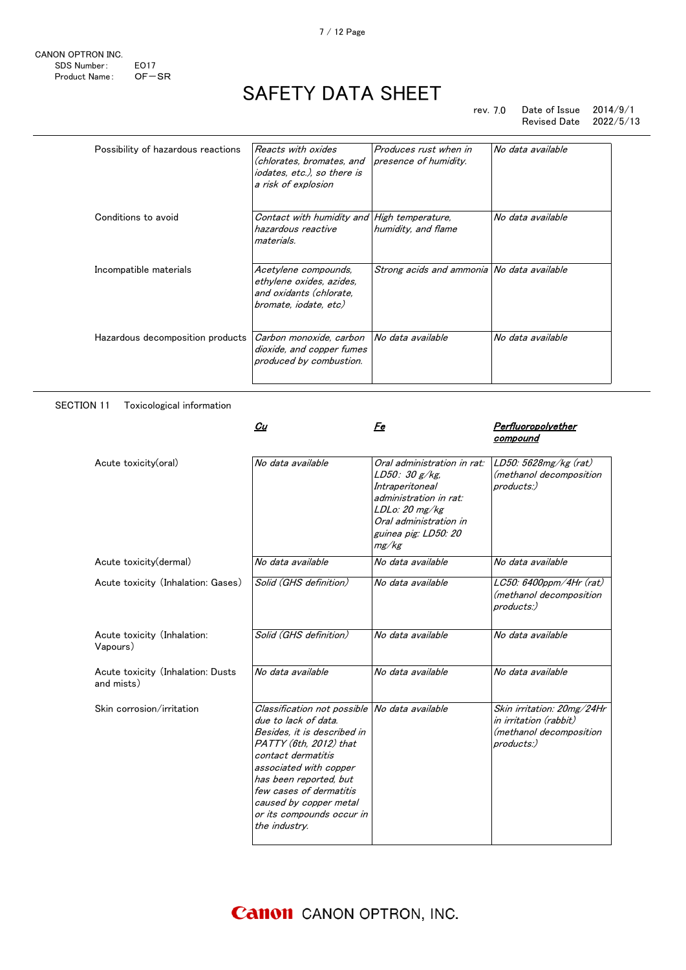rev. 7.0 Date of Issue 2014/9/1 Revised Date 2022/5/13

| Possibility of hazardous reactions | Reacts with oxides<br>(chlorates, bromates, and<br>iodates, etc.), so there is<br>a risk of explosion | Produces rust when in<br>presence of humidity. | No data available |
|------------------------------------|-------------------------------------------------------------------------------------------------------|------------------------------------------------|-------------------|
| Conditions to avoid                | Contact with humidity and<br>hazardous reactive<br>materials.                                         | High temperature,<br>humidity, and flame       | No data available |
| Incompatible materials             | Acetylene compounds,<br>ethylene oxides, azides,<br>and oxidants (chlorate,<br>bromate, iodate, etc)  | Strong acids and ammonia No data available     |                   |
| Hazardous decomposition products   | Carbon monoxide, carbon<br>dioxide, and copper fumes<br>produced by combustion.                       | No data available                              | No data available |

#### SECTION 11 Toxicological information

|                                                 | Cu                                                                                                                                                                                                                                                                                                          | Fe                                                                                                                                                                     | Perfluoropolyether<br>compound                                                                |
|-------------------------------------------------|-------------------------------------------------------------------------------------------------------------------------------------------------------------------------------------------------------------------------------------------------------------------------------------------------------------|------------------------------------------------------------------------------------------------------------------------------------------------------------------------|-----------------------------------------------------------------------------------------------|
| Acute toxicity(oral)                            | No data available                                                                                                                                                                                                                                                                                           | Oral administration in rat:<br>LD50: 30 g/kg<br>Intraperitoneal<br>administration in rat:<br>LDLo: 20 mg/kg<br>Oral administration in<br>guinea pig: LD50: 20<br>mg/kg | LD50: 5628mg/kg (rat)<br>(methanol decomposition<br>products:)                                |
| Acute toxicity(dermal)                          | No data available                                                                                                                                                                                                                                                                                           | No data available                                                                                                                                                      | No data available                                                                             |
| Acute toxicity (Inhalation: Gases)              | Solid (GHS definition)                                                                                                                                                                                                                                                                                      | No data available                                                                                                                                                      | LC50: 6400ppm/4Hr (rat)<br>(methanol decomposition<br>products:)                              |
| Acute toxicity (Inhalation:<br>Vapours)         | Solid (GHS definition)                                                                                                                                                                                                                                                                                      | No data available                                                                                                                                                      | No data available                                                                             |
| Acute toxicity (Inhalation: Dusts<br>and mists) | No data available                                                                                                                                                                                                                                                                                           | No data available                                                                                                                                                      | No data available                                                                             |
| Skin corrosion/irritation                       | Classification not possible No data available<br>due to lack of data.<br>Besides, it is described in<br>PATTY (6th. 2012) that<br>contact dermatitis<br>associated with copper<br>has been reported, but<br>few cases of dermatitis<br>caused by copper metal<br>or its compounds occur in<br>the industry. |                                                                                                                                                                        | Skin irritation: 20mg/24Hr<br>in irritation (rabbit)<br>(methanol decomposition<br>products:) |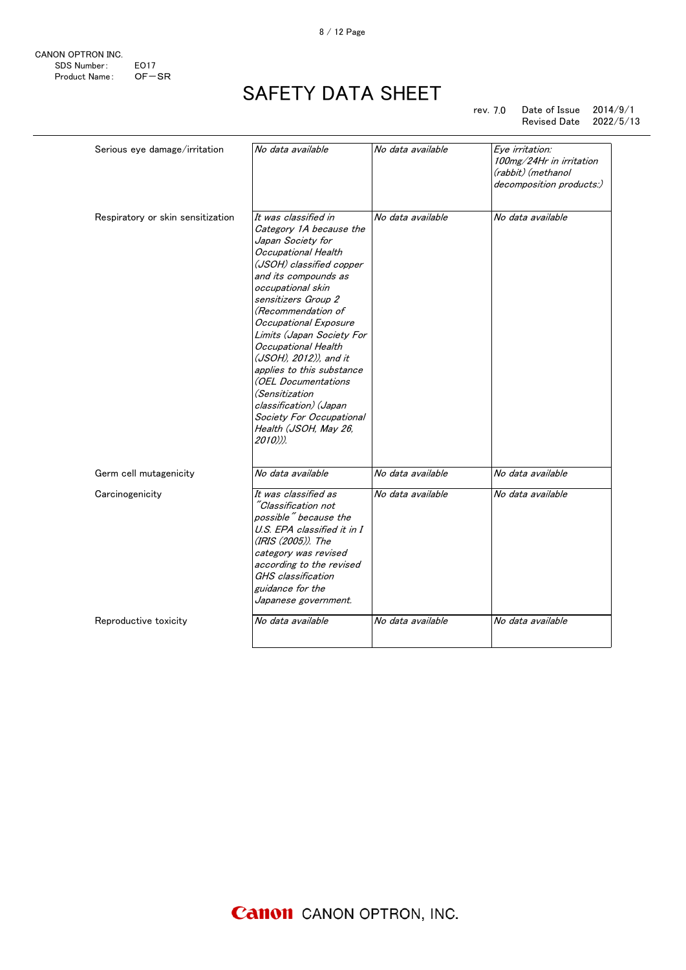

rev. 7.0 Date of Issue 2014/9/1 Revised Date 2022/5/13

| Serious eye damage/irritation     | No data available                                                                                                                                                                                                                                                                                                                                                                                                                                                                                  | No data available | Eye irritation:<br>100mg/24Hr in irritation<br>(rabbit) (methanol<br>decomposition products:) |
|-----------------------------------|----------------------------------------------------------------------------------------------------------------------------------------------------------------------------------------------------------------------------------------------------------------------------------------------------------------------------------------------------------------------------------------------------------------------------------------------------------------------------------------------------|-------------------|-----------------------------------------------------------------------------------------------|
| Respiratory or skin sensitization | It was classified in<br>Category 1A because the<br>Japan Society for<br>Occupational Health<br>(JSOH) classified copper<br>and its compounds as<br>occupational skin<br>sensitizers Group 2<br>(Recommendation of<br>Occupational Exposure<br>Limits (Japan Society For<br>Occupational Health<br>(JSOH), 2012)), and it<br>applies to this substance<br>(OEL Documentations<br><i>(Sensitization</i><br>classification) (Japan<br>Society For Occupational<br>Health (JSOH, May 26,<br>$2010$ )). | No data available | No data available                                                                             |
| Germ cell mutagenicity            | No data available                                                                                                                                                                                                                                                                                                                                                                                                                                                                                  | No data available | No data available                                                                             |
| Carcinogenicity                   | It was classified as<br>"Classification not<br>possible" because the<br>U.S. EPA classified it in I<br>(IRIS (2005)). The<br>category was revised<br>according to the revised<br>GHS classification<br>guidance for the<br>Japanese government.                                                                                                                                                                                                                                                    | No data available | No data available                                                                             |
| Reproductive toxicity             | No data available                                                                                                                                                                                                                                                                                                                                                                                                                                                                                  | No data available | No data available                                                                             |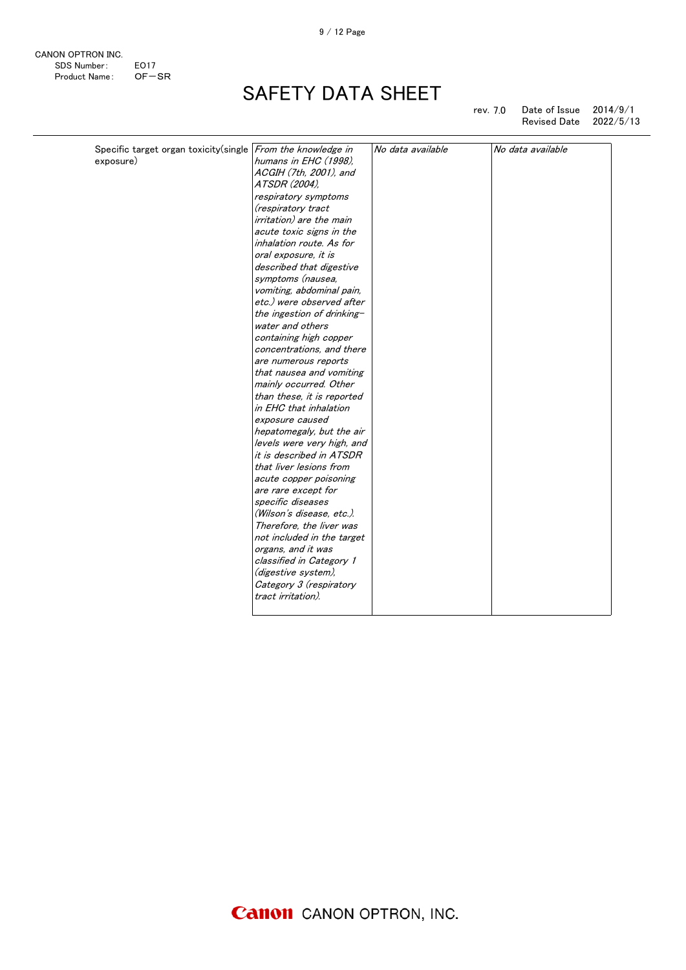CANON OPTRON INC. SDS Number: EO17 Product Name: OF-SR

# SAFETY DATA SHEET

rev. 7.0 Date of Issue 2014/9/1 Revised Date 2022/5/13

| Specific target organ toxicity(single From the knowledge in |                                 | No data available | No data available |
|-------------------------------------------------------------|---------------------------------|-------------------|-------------------|
| exposure)                                                   | humans in EHC (1998).           |                   |                   |
|                                                             | ACGIH (7th, 2001), and          |                   |                   |
|                                                             | ATSDR (2004),                   |                   |                   |
|                                                             | respiratory symptoms            |                   |                   |
|                                                             | (respiratory tract              |                   |                   |
|                                                             | <i>irritation)</i> are the main |                   |                   |
|                                                             | acute toxic signs in the        |                   |                   |
|                                                             | inhalation route. As for        |                   |                   |
|                                                             | oral exposure, it is            |                   |                   |
|                                                             | described that digestive        |                   |                   |
|                                                             | symptoms (nausea,               |                   |                   |
|                                                             | vomiting, abdominal pain,       |                   |                   |
|                                                             | etc.) were observed after       |                   |                   |
|                                                             | the ingestion of drinking-      |                   |                   |
|                                                             | water and others                |                   |                   |
|                                                             | containing high copper          |                   |                   |
|                                                             | concentrations, and there       |                   |                   |
|                                                             | are numerous reports            |                   |                   |
|                                                             | that nausea and vomiting        |                   |                   |
|                                                             | mainly occurred. Other          |                   |                   |
|                                                             | than these, it is reported      |                   |                   |
|                                                             | in EHC that inhalation          |                   |                   |
|                                                             | exposure caused                 |                   |                   |
|                                                             | hepatomegaly, but the air       |                   |                   |
|                                                             | levels were very high, and      |                   |                   |
|                                                             | it is described in ATSDR        |                   |                   |
|                                                             | that liver lesions from         |                   |                   |
|                                                             | acute copper poisoning          |                   |                   |
|                                                             | are rare except for             |                   |                   |
|                                                             | specific diseases               |                   |                   |
|                                                             | (Wilson's disease, etc.).       |                   |                   |
|                                                             | Therefore, the liver was        |                   |                   |
|                                                             | not included in the target      |                   |                   |
|                                                             | organs, and it was              |                   |                   |
|                                                             | classified in Category 1        |                   |                   |
|                                                             | (digestive system),             |                   |                   |
|                                                             | Category 3 (respiratory         |                   |                   |
|                                                             | tract irritation).              |                   |                   |
|                                                             |                                 |                   |                   |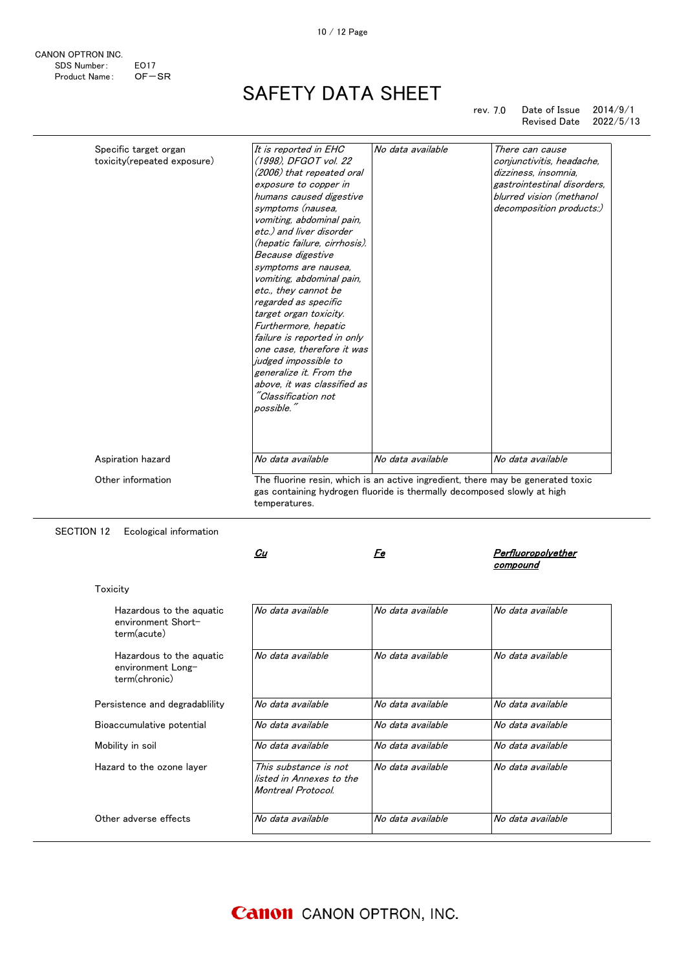|  |  | <b>Canon</b> CANON OPTRON, INC. |  |
|--|--|---------------------------------|--|
|--|--|---------------------------------|--|

| CANON OPTRON INC. |             |
|-------------------|-------------|
| SDS Number:       | <b>FO17</b> |
| Product Name:     | $OF - SR$   |

rev. 7.0 Date of Issue 2014/9/1<br>Revised Date 2022/5/13 Revised Date

| Specific target organ<br>toxicity(repeated exposure) | It is reported in EHC<br>(1998), DFGOT vol. 22<br>(2006) that repeated oral<br>exposure to copper in<br>humans caused digestive<br>symptoms (nausea.<br>vomiting, abdominal pain,<br>etc.) and liver disorder<br>(hepatic failure, cirrhosis).<br>Because digestive<br>symptoms are nausea,<br>vomiting, abdominal pain,<br>etc., they cannot be<br>regarded as specific<br>target organ toxicity.<br>Furthermore, hepatic<br>failure is reported in only<br>one case, therefore it was<br>judged impossible to<br>generalize it. From the<br>above, it was classified as<br>"Classification not | No data available | There can cause<br>conjunctivitis, headache,<br>dizziness, insomnia,<br>gastrointestinal disorders,<br>blurred vision (methanol<br>decomposition products:) |
|------------------------------------------------------|--------------------------------------------------------------------------------------------------------------------------------------------------------------------------------------------------------------------------------------------------------------------------------------------------------------------------------------------------------------------------------------------------------------------------------------------------------------------------------------------------------------------------------------------------------------------------------------------------|-------------------|-------------------------------------------------------------------------------------------------------------------------------------------------------------|
|                                                      | possible."<br>No data available                                                                                                                                                                                                                                                                                                                                                                                                                                                                                                                                                                  | No data available | No data available                                                                                                                                           |
| Aspiration hazard                                    |                                                                                                                                                                                                                                                                                                                                                                                                                                                                                                                                                                                                  |                   |                                                                                                                                                             |
| Other information                                    | gas containing hydrogen fluoride is thermally decomposed slowly at high<br>temperatures.                                                                                                                                                                                                                                                                                                                                                                                                                                                                                                         |                   | The fluorine resin, which is an active ingredient, there may be generated toxic                                                                             |

 $\mathcal{C}u$ 

SECTION 12 Ecological information

| Hazardous to the aguatic<br>environment Short-<br>term(acute)  | No data available                                                       | No data available | No data available |
|----------------------------------------------------------------|-------------------------------------------------------------------------|-------------------|-------------------|
| Hazardous to the aguatic<br>environment Long-<br>term(chronic) | No data available                                                       | No data available | No data available |
| Persistence and degradablility                                 | No data available                                                       | No data available | No data available |
| Bioaccumulative potential                                      | No data available                                                       | No data available | No data available |
| Mobility in soil                                               | No data available                                                       | No data available | No data available |
| Hazard to the ozone layer                                      | This substance is not<br>listed in Annexes to the<br>Montreal Protocol. | No data available | No data available |
| Other adverse effects                                          | No data available                                                       | No data available | No data available |
|                                                                |                                                                         |                   |                   |

Fe Perfluoropolyether

compound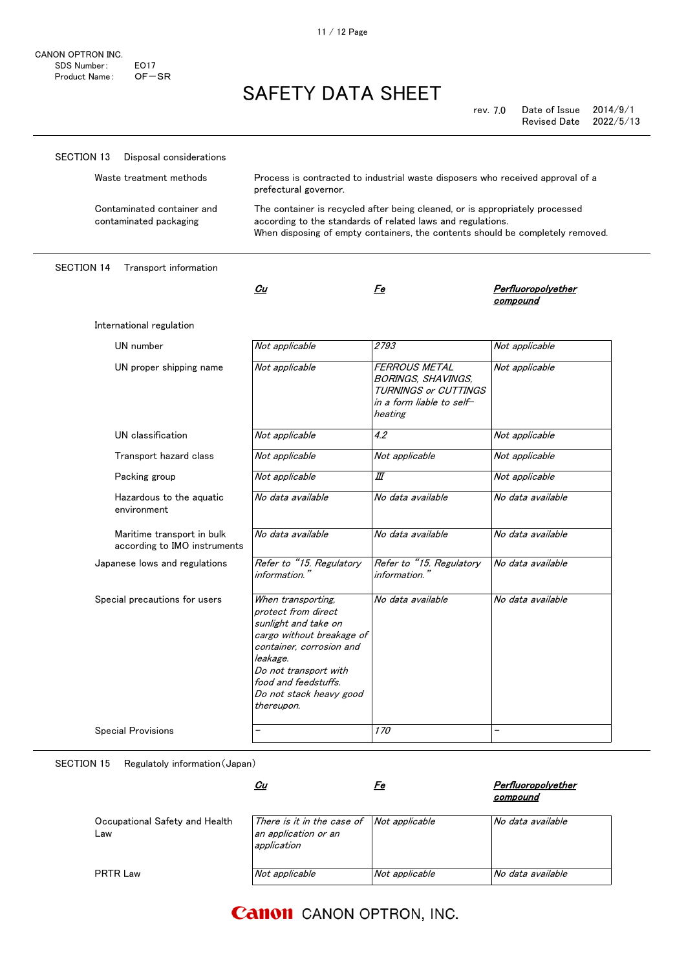rev. 7.0 Date of Issue 2014/9/1 Revised Date 2022/5/13

| SECTION 13<br>Disposal considerations                      |                                                                                                                                                                                                                                  |                                                                                                                                                                                                                               |                                       |  |
|------------------------------------------------------------|----------------------------------------------------------------------------------------------------------------------------------------------------------------------------------------------------------------------------------|-------------------------------------------------------------------------------------------------------------------------------------------------------------------------------------------------------------------------------|---------------------------------------|--|
| Waste treatment methods                                    | prefectural governor.                                                                                                                                                                                                            | Process is contracted to industrial waste disposers who received approval of a                                                                                                                                                |                                       |  |
| Contaminated container and<br>contaminated packaging       |                                                                                                                                                                                                                                  | The container is recycled after being cleaned, or is appropriately processed<br>according to the standards of related laws and regulations.<br>When disposing of empty containers, the contents should be completely removed. |                                       |  |
| <b>SECTION 14</b><br>Transport information                 |                                                                                                                                                                                                                                  |                                                                                                                                                                                                                               |                                       |  |
|                                                            | Cu                                                                                                                                                                                                                               | Fe                                                                                                                                                                                                                            | <b>Perfluoropolyether</b><br>compound |  |
| International regulation                                   |                                                                                                                                                                                                                                  |                                                                                                                                                                                                                               |                                       |  |
| UN number                                                  | Not applicable                                                                                                                                                                                                                   | 2793                                                                                                                                                                                                                          | Not applicable                        |  |
| UN proper shipping name                                    | Not applicable                                                                                                                                                                                                                   | FERROUS METAL<br>BORINGS, SHAVINGS,<br><b>TURNINGS or CUTTINGS</b><br>in a form liable to self-<br>heating                                                                                                                    | Not applicable                        |  |
| UN classification                                          | Not applicable                                                                                                                                                                                                                   | 4.2                                                                                                                                                                                                                           | Not applicable                        |  |
| Transport hazard class                                     | Not applicable                                                                                                                                                                                                                   | Not applicable                                                                                                                                                                                                                | Not applicable                        |  |
| Packing group                                              | Not applicable                                                                                                                                                                                                                   | Ш                                                                                                                                                                                                                             | Not applicable                        |  |
| Hazardous to the aquatic<br>environment                    | No data available                                                                                                                                                                                                                | No data available                                                                                                                                                                                                             | No data available                     |  |
| Maritime transport in bulk<br>according to IMO instruments | No data available                                                                                                                                                                                                                | No data available                                                                                                                                                                                                             | No data available                     |  |
| Japanese lows and regulations                              | Refer to "15. Regulatory<br>information."                                                                                                                                                                                        | Refer to "15. Regulatory<br>information."                                                                                                                                                                                     | No data available                     |  |
| Special precautions for users                              | When transporting,<br>protect from direct<br>sunlight and take on<br>cargo without breakage of<br>container, corrosion and<br>leakage.<br>Do not transport with<br>food and feedstuffs.<br>Do not stack heavy good<br>thereupon. | No data available                                                                                                                                                                                                             | No data available                     |  |
| <b>Special Provisions</b>                                  |                                                                                                                                                                                                                                  | <i>170</i>                                                                                                                                                                                                                    | $\overline{\phantom{0}}$              |  |

SECTION 15 Regulatoly information(Japan)

|                                       | <u>Cu</u>                                                                                | Fe             | Perfluoropolvether<br>compound |
|---------------------------------------|------------------------------------------------------------------------------------------|----------------|--------------------------------|
| Occupational Safety and Health<br>Law | There is it in the case of $\vert$ Not applicable<br>an application or an<br>application |                | No data available              |
| <b>PRTR Law</b>                       | Not applicable                                                                           | Not applicable | No data available              |